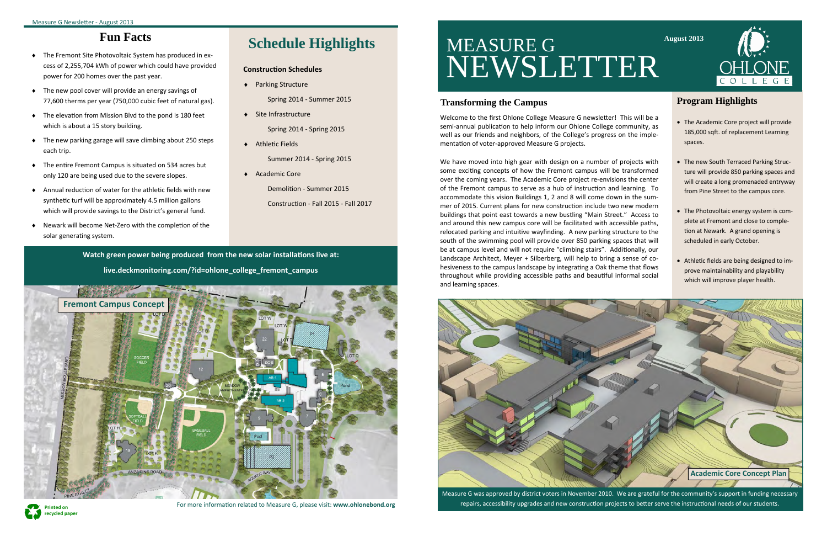We have moved into high gear with design on a number of projects with some exciting concepts of how the Fremont campus will be transformed over the coming years. The Academic Core project re‐envisions the center of the Fremont campus to serve as a hub of instruction and learning. To accommodate this vision Buildings 1, 2 and 8 will come down in the sum‐ mer of 2015. Current plans for new construction include two new modern buildings that point east towards a new bustling "Main Street." Access to and around this new campus core will be facilitated with accessible paths, relocated parking and intuitive wayfinding. A new parking structure to the south of the swimming pool will provide over 850 parking spaces that will be at campus level and will not require "climbing stairs". Additionally, our Landscape Architect, Meyer + Silberberg, will help to bring a sense of cohesiveness to the campus landscape by integrating a Oak theme that flows throughout while providing accessible paths and beautiful informal social and learning spaces.

#### **Program Highlights**

- The Academic Core project will provide 185,000 sqft. of replacement Learning spaces.
- The new South Terraced Parking Structure will provide 850 parking spaces and will create a long promenaded entryway from Pine Street to the campus core.
- The Photovoltaic energy system is complete at Fremont and close to comple‐ tion at Newark. A grand opening is scheduled in early October.
- Athletic fields are being designed to improve maintainability and playability which will improve player health.

Measure G was approved by district voters in November 2010. We are grateful for the community's support in funding necessary repairs, accessibility upgrades and new construction projects to better serve the instructional needs of our students.

# MEASURE G NEWSLETTER

### **Schedule Highlights**

#### **ConstrucƟon Schedules**

◆ Parking Structure

Spring 2014 ‐ Summer 2015

 $\bullet$  Site Infrastructure

Spring 2014 ‐ Spring 2015

 $\bullet$  Athletic Fields

Summer 2014 ‐ Spring 2015

◆ Academic Core

Demolition - Summer 2015

ConstrucƟon ‐ Fall 2015 ‐ Fall 2017

#### **Transforming the Campus**

Welcome to the first Ohlone College Measure G newsletter! This will be a semi-annual publication to help inform our Ohlone College community, as well as our friends and neighbors, of the College's progress on the implementation of voter-approved Measure G projects.



### **Fun Facts**

- ◆ The Fremont Site Photovoltaic System has produced in excess of 2,255,704 kWh of power which could have provided power for 200 homes over the past year.
- The new pool cover will provide an energy savings of 77,600 therms per year (750,000 cubic feet of natural gas).
- $\bullet$  The elevation from Mission Blvd to the pond is 180 feet which is about a 15 story building.
- The new parking garage will save climbing about 250 steps each trip.
- $\bullet$  The entire Fremont Campus is situated on 534 acres but only 120 are being used due to the severe slopes.
- $\bullet$  Annual reduction of water for the athletic fields with new synthetic turf will be approximately 4.5 million gallons which will provide savings to the District's general fund.
- ◆ Newark will become Net-Zero with the completion of the solar generating system.





**Watch green power being produced from the new solar installaƟons live at: live.deckmonitoring.com/?id=ohlone\_college\_fremont\_campus**



For more information related to Measure G, please visit: **www.ohlonebond.org**